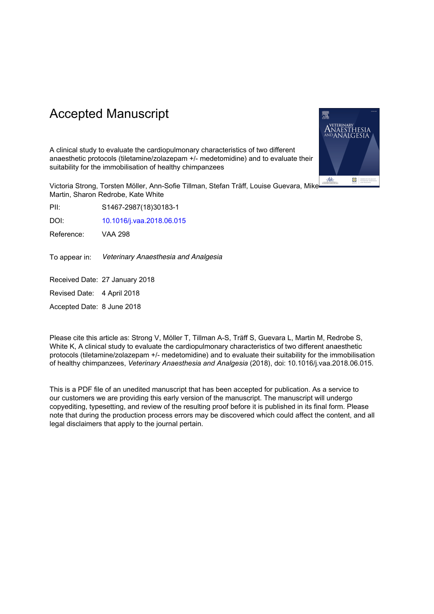# Accepted Manuscript



Victoria Strong, Torsten Möller, Ann-Sofie Tillman, Stefan Träff, Louise Guevara, Mike Martin, Sharon Redrobe, Kate White

PII: S1467-2987(18)30183-1

DOI: 10.1016/j.vaa.2018.06.015

Reference: VAA 298

To appear in: *Veterinary Anaesthesia and Analgesia*

Received Date: 27 January 2018

Revised Date: 4 April 2018

Accepted Date: 8 June 2018

Please cite this article as: Strong V, Möller T, Tillman A-S, Träff S, Guevara L, Martin M, Redrobe S, White K, A clinical study to evaluate the cardiopulmonary characteristics of two different anaesthetic protocols (tiletamine/zolazepam +/- medetomidine) and to evaluate their suitability for the immobilisation of healthy chimpanzees, Veterinary Anaesthesia and Analgesia (2018), doi: 10.1016/j.vaa.2018.06.015.

This is a PDF file of an unedited manuscript that has been accepted for publication. As a service to our customers we are providing this early version of the manuscript. The manuscript will undergo copyediting, typesetting, and review of the resulting proof before it is published in its final form. Please note that during the production process errors may be discovered which could affect the content, and all legal disclaimers that apply to the journal pertain.

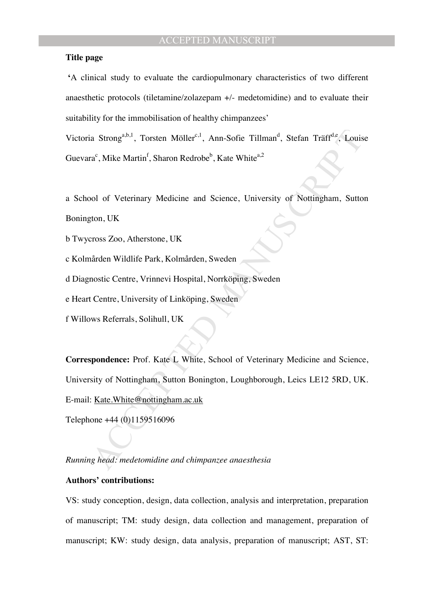### **Title page**

 **'**A clinical study to evaluate the cardiopulmonary characteristics of two different anaesthetic protocols (tiletamine/zolazepam +/- medetomidine) and to evaluate their suitability for the immobilisation of healthy chimpanzees'

Victoria Strong<sup>a,b,1</sup>, Torsten Möller<sup>c,1</sup>, Ann-Sofie Tillman<sup>d</sup>, Stefan Träff<sup>d,e</sup>, Louise Guevara<sup>c</sup>, Mike Martin<sup>f</sup>, Sharon Redrobe<sup>b</sup>, Kate White<sup>a,2</sup>

a School of Veterinary Medicine and Science, University of Nottingham, Sutton Bonington, UK

b Twycross Zoo, Atherstone, UK

c Kolmården Wildlife Park, Kolmården, Sweden

d Diagnostic Centre, Vrinnevi Hospital, Norrköping, Sweden

e Heart Centre, University of Linköping, Sweden

f Willows Referrals, Solihull, UK

a Strong<sup>a,b,1</sup>, Torsten Möller<sup>e,1</sup>, Ann-Sofie Tillman<sup>d</sup>, Stefan Träff<sup>d, a</sup>, Louis<br>"a", Mike Martin<sup>f</sup>, Sharon Redrobe<sup>b</sup>, Kate White<sup>82</sup><br>"bol of Veterinary Medicine and Science, University of Nottingham, Sutto<br>ton, UK<br> **Correspondence:** Prof. Kate L White, School of Veterinary Medicine and Science, University of Nottingham, Sutton Bonington, Loughborough, Leics LE12 5RD, UK. E-mail: Kate.White@nottingham.ac.uk

Telephone +44 (0)1159516096

*Running head: medetomidine and chimpanzee anaesthesia* 

### **Authors' contributions:**

VS: study conception, design, data collection, analysis and interpretation, preparation of manuscript; TM: study design, data collection and management, preparation of manuscript; KW: study design, data analysis, preparation of manuscript; AST, ST: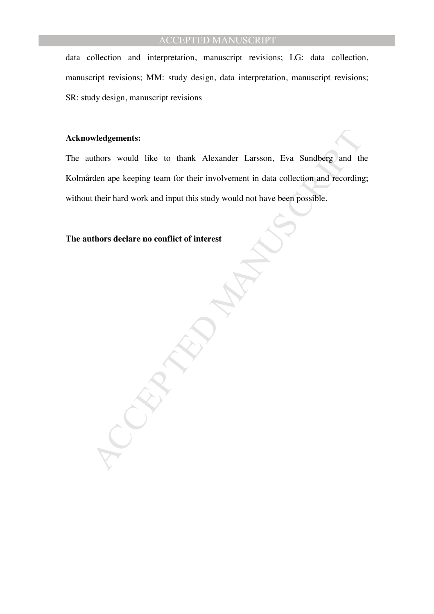data collection and interpretation, manuscript revisions; LG: data collection, manuscript revisions; MM: study design, data interpretation, manuscript revisions; SR: study design, manuscript revisions

### **Acknowledgements:**

wledgements:<br>
uthors would like to thank Alexander Larsson, Eva Sundberg and the<br>
rdcn ape keeping team for their involvement in data collection and recording<br>
their hard work and input this study would not have been possi The authors would like to thank Alexander Larsson, Eva Sundberg and the Kolmården ape keeping team for their involvement in data collection and recording; without their hard work and input this study would not have been possible.

### **The authors declare no conflict of interest**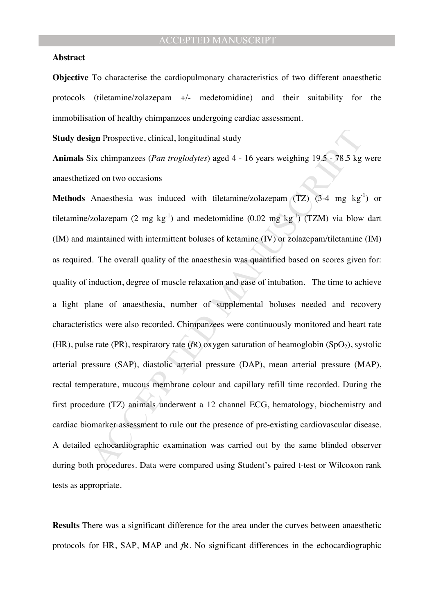### **Abstract**

**Objective** To characterise the cardiopulmonary characteristics of two different anaesthetic protocols (tiletamine/zolazepam +/- medetomidine) and their suitability for the immobilisation of healthy chimpanzees undergoing cardiac assessment.

**Study design** Prospective, clinical, longitudinal study

**Animals** Six chimpanzees (*Pan troglodytes*) aged 4 - 16 years weighing 19.5 - 78.5 kg were anaesthetized on two occasions

ign Prospective, clinical, longitudinal study<br>
iix chimpanzees (Pan troglodytes) aged 4 - 16 years weighing 19.5 - 78.5 kg<br>
ed on two occasions<br>
Anaesthesia was induced with tiletamine/zolazepam (TZ) (3-4 mg kg<sup>-1</sup>)<br>
zola **Methods** Anaesthesia was induced with tiletamine/zolazepam (TZ) (3-4 mg kg<sup>-1</sup>) or tiletamine/zolazepam (2 mg kg<sup>-1</sup>) and medetomidine (0.02 mg kg<sup>-1</sup>) (TZM) via blow dart (IM) and maintained with intermittent boluses of ketamine (IV) or zolazepam/tiletamine (IM) as required. The overall quality of the anaesthesia was quantified based on scores given for: quality of induction, degree of muscle relaxation and ease of intubation. The time to achieve a light plane of anaesthesia, number of supplemental boluses needed and recovery characteristics were also recorded. Chimpanzees were continuously monitored and heart rate (HR), pulse rate (PR), respiratory rate ( $fR$ ) oxygen saturation of heamoglobin (SpO<sub>2</sub>), systolic arterial pressure (SAP), diastolic arterial pressure (DAP), mean arterial pressure (MAP), rectal temperature, mucous membrane colour and capillary refill time recorded. During the first procedure (TZ) animals underwent a 12 channel ECG, hematology, biochemistry and cardiac biomarker assessment to rule out the presence of pre-existing cardiovascular disease. A detailed echocardiographic examination was carried out by the same blinded observer during both procedures. Data were compared using Student's paired t-test or Wilcoxon rank tests as appropriate.

**Results** There was a significant difference for the area under the curves between anaesthetic protocols for HR, SAP, MAP and *f*R. No significant differences in the echocardiographic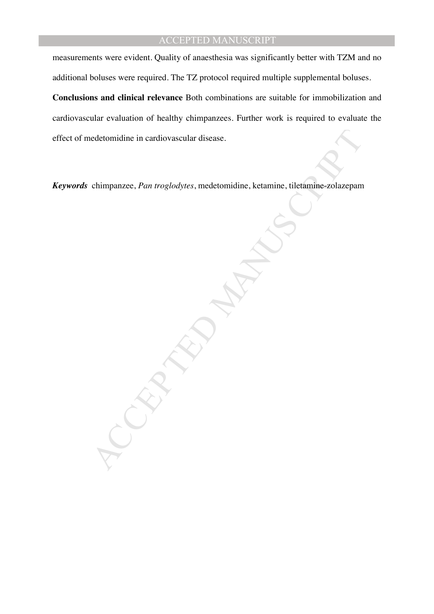measurements were evident. Quality of anaesthesia was significantly better with TZM and no additional boluses were required. The TZ protocol required multiple supplemental boluses.

**Conclusions and clinical relevance** Both combinations are suitable for immobilization and cardiovascular evaluation of healthy chimpanzees. Further work is required to evaluate the effect of medetomidine in cardiovascular disease.

*Keywords* chimpanzee, *Pan troglodytes*, medetomidine, ketamine, tiletamine-zolazepam

edetomidine in eardiovascular disease.<br>
chimpanzee, Pan troglodytes, medetomidine, ketamine, tiletamine, zolazepam<br>
Manuscript (1990)<br>
Manuscript (1990)<br>
Manuscript (1990)<br>
Manuscript (1990)<br>
Manuscript (1990)<br>
Manuscript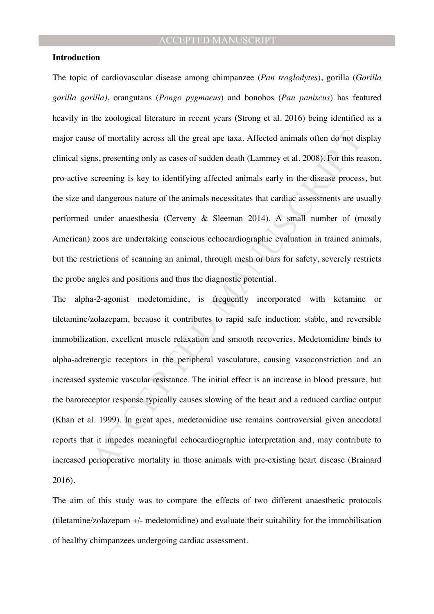### **Introduction**

The topic of cardiovascular disease among chimpanzee (*Pan troglodytes*), gorilla (*Gorilla gorilla gorilla)*, orangutans (*Pongo pygmaeus*) and bonobos (*Pan paniscus*) has featured heavily in the zoological literature in recent years (Strong et al. 2016) being identified as a major cause of mortality across all the great ape taxa. Affected animals often do not display clinical signs, presenting only as cases of sudden death (Lammey et al. 2008). For this reason, pro-active screening is key to identifying affected animals early in the disease process, but the size and dangerous nature of the animals necessitates that cardiac assessments are usually performed under anaesthesia (Cerveny & Sleeman 2014). A small number of (mostly American) zoos are undertaking conscious echocardiographic evaluation in trained animals, but the restrictions of scanning an animal, through mesh or bars for safety, severely restricts the probe angles and positions and thus the diagnostic potential.

is the orientality across all the great ape taxa. Affected animals often do not diens, presenting only as cases of sudden death (Lammey et al. 2008). For this reservening is key to identifying affected animals acrly in the The alpha-2-agonist medetomidine, is frequently incorporated with ketamine or tiletamine/zolazepam, because it contributes to rapid safe induction; stable, and reversible immobilization, excellent muscle relaxation and smooth recoveries. Medetomidine binds to alpha-adrenergic receptors in the peripheral vasculature, causing vasoconstriction and an increased systemic vascular resistance. The initial effect is an increase in blood pressure, but the baroreceptor response typically causes slowing of the heart and a reduced cardiac output (Khan et al. 1999). In great apes, medetomidine use remains controversial given anecdotal reports that it impedes meaningful echocardiographic interpretation and, may contribute to increased perioperative mortality in those animals with pre-existing heart disease (Brainard 2016).

The aim of this study was to compare the effects of two different anaesthetic protocols (tiletamine/zolazepam +/- medetomidine) and evaluate their suitability for the immobilisation of healthy chimpanzees undergoing cardiac assessment.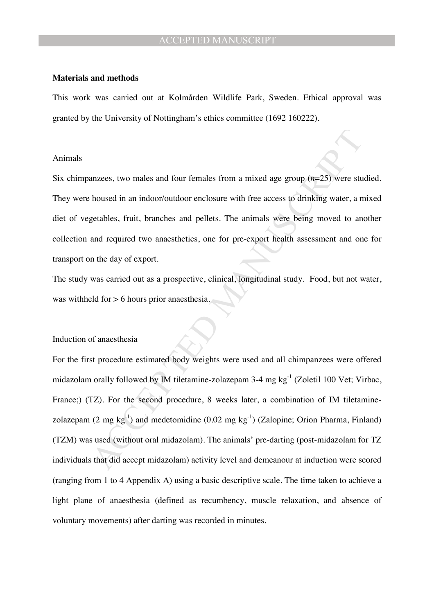#### **Materials and methods**

This work was carried out at Kolmården Wildlife Park, Sweden. Ethical approval was granted by the University of Nottingham's ethics committee (1692 160222).

#### Animals

Six chimpanzees, two males and four females from a mixed age group (*n*=25) were studied. They were housed in an indoor/outdoor enclosure with free access to drinking water, a mixed diet of vegetables, fruit, branches and pellets. The animals were being moved to another collection and required two anaesthetics, one for pre-export health assessment and one for transport on the day of export.

The study was carried out as a prospective, clinical, longitudinal study. Food, but not water, was withheld for > 6 hours prior anaesthesia.

#### Induction of anaesthesia

anzess, two males and four females from a mixed age group  $(n=25)$  were studios.<br>
housed in an indoor/outdoor enclosure with free access to drinking water, a n<br>
getables, fruit, branches and pellets. The animals were being For the first procedure estimated body weights were used and all chimpanzees were offered midazolam orally followed by IM tiletamine-zolazepam 3-4 mg kg-1 (Zoletil 100 Vet; Virbac, France;) (TZ). For the second procedure, 8 weeks later, a combination of IM tiletaminezolazepam (2 mg kg<sup>-1</sup>) and medetomidine (0.02 mg kg<sup>-1</sup>) (Zalopine; Orion Pharma, Finland) (TZM) was used (without oral midazolam). The animals' pre-darting (post-midazolam for TZ individuals that did accept midazolam) activity level and demeanour at induction were scored (ranging from 1 to 4 Appendix A) using a basic descriptive scale. The time taken to achieve a light plane of anaesthesia (defined as recumbency, muscle relaxation, and absence of voluntary movements) after darting was recorded in minutes.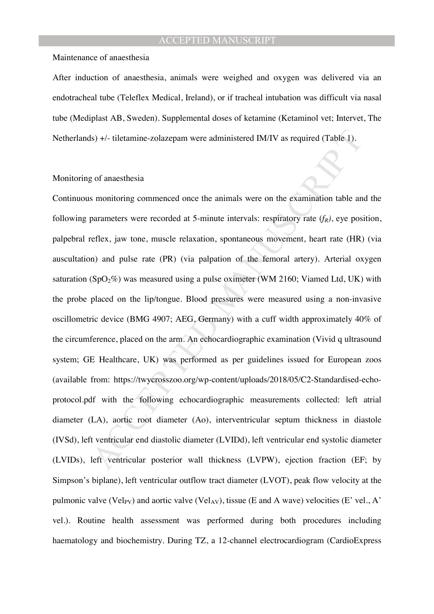Maintenance of anaesthesia

After induction of anaesthesia, animals were weighed and oxygen was delivered via an endotracheal tube (Teleflex Medical, Ireland), or if tracheal intubation was difficult via nasal tube (Mediplast AB, Sweden). Supplemental doses of ketamine (Ketaminol vet; Intervet, The Netherlands) +/- tiletamine-zolazepam were administered IM/IV as required (Table 1).

#### Monitoring of anaesthesia

Is)  $+\prime$ - tiletamine-zolazepam were administered IM/IV as required (Table 1).<br>
20 of anacsthesia<br>
20 of anacsthesia<br>
20 of anacsthesia<br>
30 monitoring commenced once the animals were on the examination table an<br>
20 monitor Continuous monitoring commenced once the animals were on the examination table and the following parameters were recorded at 5-minute intervals: respiratory rate  $(f_R)$ , eye position, palpebral reflex, jaw tone, muscle relaxation, spontaneous movement, heart rate (HR) (via auscultation) and pulse rate (PR) (via palpation of the femoral artery). Arterial oxygen saturation (SpO $_2\%$ ) was measured using a pulse oximeter (WM 2160; Viamed Ltd, UK) with the probe placed on the lip/tongue. Blood pressures were measured using a non-invasive oscillometric device (BMG 4907; AEG, Germany) with a cuff width approximately 40% of the circumference, placed on the arm. An echocardiographic examination (Vivid q ultrasound system; GE Healthcare, UK) was performed as per guidelines issued for European zoos (available from: https://twycrosszoo.org/wp-content/uploads/2018/05/C2-Standardised-echoprotocol.pdf with the following echocardiographic measurements collected: left atrial diameter (LA), aortic root diameter (Ao), interventricular septum thickness in diastole (IVSd), left ventricular end diastolic diameter (LVIDd), left ventricular end systolic diameter (LVIDs), left ventricular posterior wall thickness (LVPW), ejection fraction (EF; by Simpson's biplane), left ventricular outflow tract diameter (LVOT), peak flow velocity at the pulmonic valve (Vel<sub>PV</sub>) and aortic valve (Vel<sub>AV</sub>), tissue (E and A wave) velocities (E' vel., A' vel.). Routine health assessment was performed during both procedures including haematology and biochemistry. During TZ, a 12-channel electrocardiogram (CardioExpress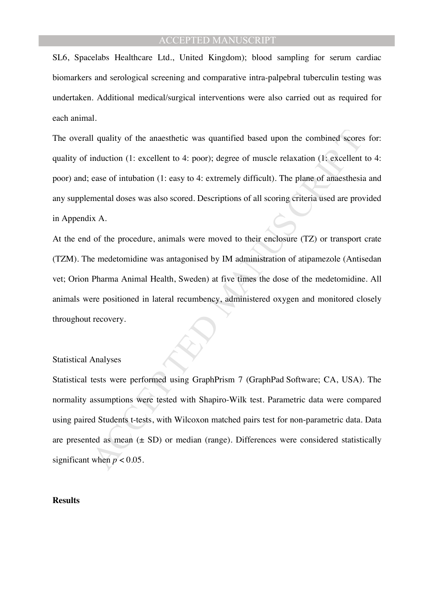SL6, Spacelabs Healthcare Ltd., United Kingdom); blood sampling for serum cardiac biomarkers and serological screening and comparative intra-palpebral tuberculin testing was undertaken. Additional medical/surgical interventions were also carried out as required for each animal.

The overall quality of the anaesthetic was quantified based upon the combined scores for: quality of induction (1: excellent to 4: poor); degree of muscle relaxation (1: excellent to 4: poor) and; ease of intubation (1: easy to 4: extremely difficult). The plane of anaesthesia and any supplemental doses was also scored. Descriptions of all scoring criteria used are provided in Appendix A.

At the end of the procedure, animals were moved to their enclosure (TZ) or transport crate (TZM). The medetomidine was antagonised by IM administration of atipamezole (Antisedan vet; Orion Pharma Animal Health, Sweden) at five times the dose of the medetomidine. All animals were positioned in lateral recumbency, administered oxygen and monitored closely throughout recovery.

#### Statistical Analyses

Il quality of the anaesthetic was quantified based upon the combined scores<br>induction (1: excellent to 4: poor); degree of muscle relaxation (1: excellent<br>case of intubation (1: casy to 4: extremely difficult). The plane Statistical tests were performed using GraphPrism 7 (GraphPad Software; CA, USA). The normality assumptions were tested with Shapiro-Wilk test. Parametric data were compared using paired Students t-tests, with Wilcoxon matched pairs test for non-parametric data. Data are presented as mean  $(\pm SD)$  or median (range). Differences were considered statistically significant when  $p < 0.05$ .

### **Results**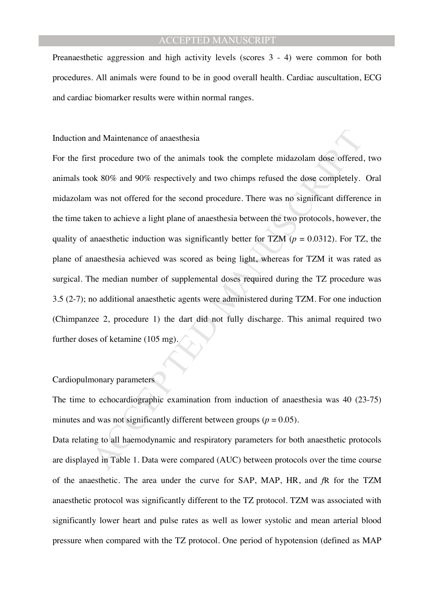Preanaesthetic aggression and high activity levels (scores 3 - 4) were common for both procedures. All animals were found to be in good overall health. Cardiac auscultation, ECG and cardiac biomarker results were within normal ranges.

Induction and Maintenance of anaesthesia

and Maintenance of anaesthesia<br>st procedure two of the animals took the complete midazolam dose offered<br>ok 80% and 90% respectively and two chimps refused the dose completely.<br>was not offered for the second procedure. The For the first procedure two of the animals took the complete midazolam dose offered, two animals took 80% and 90% respectively and two chimps refused the dose completely. Oral midazolam was not offered for the second procedure. There was no significant difference in the time taken to achieve a light plane of anaesthesia between the two protocols, however, the quality of anaesthetic induction was significantly better for TZM ( $p = 0.0312$ ). For TZ, the plane of anaesthesia achieved was scored as being light, whereas for TZM it was rated as surgical. The median number of supplemental doses required during the TZ procedure was 3.5 (2-7); no additional anaesthetic agents were administered during TZM. For one induction (Chimpanzee 2, procedure 1) the dart did not fully discharge. This animal required two further doses of ketamine (105 mg).

### Cardiopulmonary parameters

The time to echocardiographic examination from induction of anaesthesia was 40 (23-75) minutes and was not significantly different between groups ( $p = 0.05$ ).

Data relating to all haemodynamic and respiratory parameters for both anaesthetic protocols are displayed in Table 1. Data were compared (AUC) between protocols over the time course of the anaesthetic. The area under the curve for SAP, MAP, HR, and *f*R for the TZM anaesthetic protocol was significantly different to the TZ protocol. TZM was associated with significantly lower heart and pulse rates as well as lower systolic and mean arterial blood pressure when compared with the TZ protocol. One period of hypotension (defined as MAP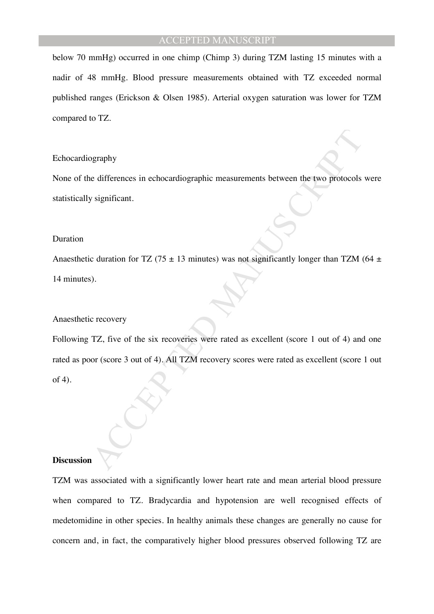below 70 mmHg) occurred in one chimp (Chimp 3) during TZM lasting 15 minutes with a nadir of 48 mmHg. Blood pressure measurements obtained with TZ exceeded normal published ranges (Erickson & Olsen 1985). Arterial oxygen saturation was lower for TZM compared to TZ.

### Echocardiography

None of the differences in echocardiographic measurements between the two protocols were statistically significant.

#### Duration

Anaesthetic duration for TZ (75  $\pm$  13 minutes) was not significantly longer than TZM (64  $\pm$ 14 minutes).

#### Anaesthetic recovery

by equality<br>
of differences in cchocardiographic measurements between the two protocols<br>
significant.<br>
c duration for TZ (75  $\pm$  13 minutes) was not significantly longer than TZM (<br>
o).<br>
c recovery<br>
TZ, five of the six r Following TZ, five of the six recoveries were rated as excellent (score 1 out of 4) and one rated as poor (score 3 out of 4). All TZM recovery scores were rated as excellent (score 1 out of 4).

### **Discussion**

TZM was associated with a significantly lower heart rate and mean arterial blood pressure when compared to TZ. Bradycardia and hypotension are well recognised effects of medetomidine in other species. In healthy animals these changes are generally no cause for concern and, in fact, the comparatively higher blood pressures observed following TZ are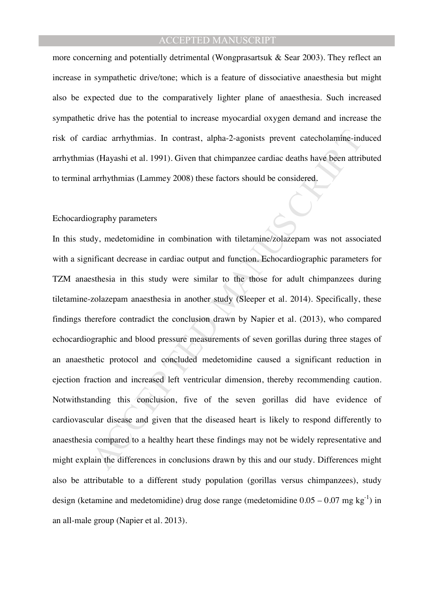more concerning and potentially detrimental (Wongprasartsuk & Sear 2003). They reflect an increase in sympathetic drive/tone; which is a feature of dissociative anaesthesia but might also be expected due to the comparatively lighter plane of anaesthesia. Such increased sympathetic drive has the potential to increase myocardial oxygen demand and increase the risk of cardiac arrhythmias. In contrast, alpha-2-agonists prevent catecholamine-induced arrhythmias (Hayashi et al. 1991). Given that chimpanzee cardiac deaths have been attributed to terminal arrhythmias (Lammey 2008) these factors should be considered.

### Echocardiography parameters

rdiae arrhythmias. In contrast, alpha-2-agonists prevent catecholamine-ind<br>is (Hayashi et al. 1991). Given that chimpanzee cardiae deaths have been attriti<br>arrhythmias (Lammey 2008) these factors should be considered.<br>Degr In this study, medetomidine in combination with tiletamine/zolazepam was not associated with a significant decrease in cardiac output and function. Echocardiographic parameters for TZM anaesthesia in this study were similar to the those for adult chimpanzees during tiletamine-zolazepam anaesthesia in another study (Sleeper et al. 2014). Specifically, these findings therefore contradict the conclusion drawn by Napier et al. (2013), who compared echocardiographic and blood pressure measurements of seven gorillas during three stages of an anaesthetic protocol and concluded medetomidine caused a significant reduction in ejection fraction and increased left ventricular dimension, thereby recommending caution. Notwithstanding this conclusion, five of the seven gorillas did have evidence of cardiovascular disease and given that the diseased heart is likely to respond differently to anaesthesia compared to a healthy heart these findings may not be widely representative and might explain the differences in conclusions drawn by this and our study. Differences might also be attributable to a different study population (gorillas versus chimpanzees), study design (ketamine and medetomidine) drug dose range (medetomidine  $0.05 - 0.07$  mg kg<sup>-1</sup>) in an all-male group (Napier et al. 2013).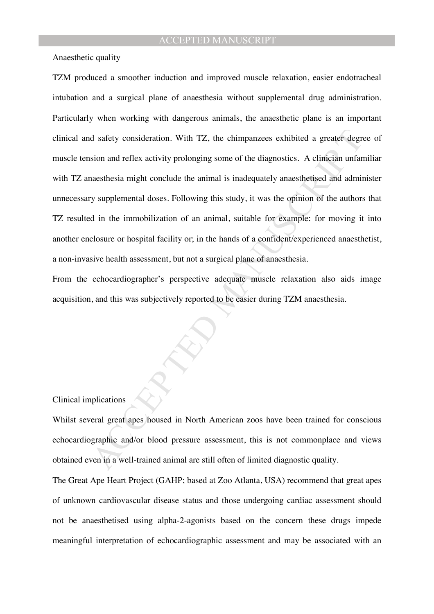Anaesthetic quality

d safety consideration. With TZ, the chimpanzees exhibited a greater degrees<br>sion and reflex activity prolonging some of the diagnostics. A clinician unfan<br>acsthosia might conclude the animal is inadequately anaesthetised TZM produced a smoother induction and improved muscle relaxation, easier endotracheal intubation and a surgical plane of anaesthesia without supplemental drug administration. Particularly when working with dangerous animals, the anaesthetic plane is an important clinical and safety consideration. With TZ, the chimpanzees exhibited a greater degree of muscle tension and reflex activity prolonging some of the diagnostics. A clinician unfamiliar with TZ anaesthesia might conclude the animal is inadequately anaesthetised and administer unnecessary supplemental doses. Following this study, it was the opinion of the authors that TZ resulted in the immobilization of an animal, suitable for example: for moving it into another enclosure or hospital facility or; in the hands of a confident/experienced anaesthetist, a non-invasive health assessment, but not a surgical plane of anaesthesia.

From the echocardiographer's perspective adequate muscle relaxation also aids image acquisition, and this was subjectively reported to be easier during TZM anaesthesia.

### Clinical implications

Whilst several great apes housed in North American zoos have been trained for conscious echocardiographic and/or blood pressure assessment, this is not commonplace and views obtained even in a well-trained animal are still often of limited diagnostic quality.

The Great Ape Heart Project (GAHP; based at Zoo Atlanta, USA) recommend that great apes of unknown cardiovascular disease status and those undergoing cardiac assessment should not be anaesthetised using alpha-2-agonists based on the concern these drugs impede meaningful interpretation of echocardiographic assessment and may be associated with an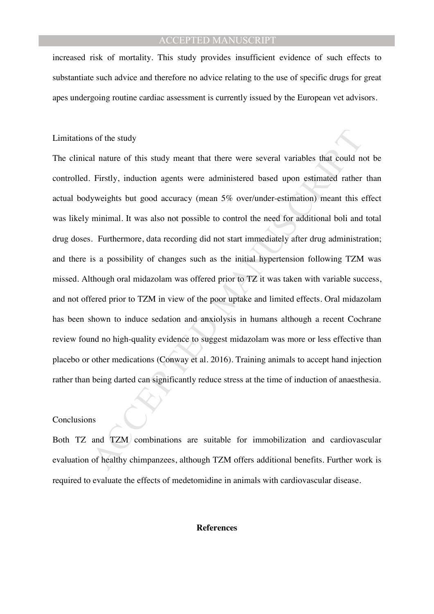increased risk of mortality. This study provides insufficient evidence of such effects to substantiate such advice and therefore no advice relating to the use of specific drugs for great apes undergoing routine cardiac assessment is currently issued by the European vet advisors.

### Limitations of the study

is of the study<br>al nature of this study meant that there were several variables that could ne<br>Firstly, induction agents were administered based upon estimated rather<br>yweights but good accuracy (mean 5% over/under-estimatio The clinical nature of this study meant that there were several variables that could not be controlled. Firstly, induction agents were administered based upon estimated rather than actual bodyweights but good accuracy (mean 5% over/under-estimation) meant this effect was likely minimal. It was also not possible to control the need for additional boli and total drug doses. Furthermore, data recording did not start immediately after drug administration; and there is a possibility of changes such as the initial hypertension following TZM was missed. Although oral midazolam was offered prior to TZ it was taken with variable success, and not offered prior to TZM in view of the poor uptake and limited effects. Oral midazolam has been shown to induce sedation and anxiolysis in humans although a recent Cochrane review found no high-quality evidence to suggest midazolam was more or less effective than placebo or other medications (Conway et al. 2016). Training animals to accept hand injection rather than being darted can significantly reduce stress at the time of induction of anaesthesia.

#### Conclusions

Both TZ and TZM combinations are suitable for immobilization and cardiovascular evaluation of healthy chimpanzees, although TZM offers additional benefits. Further work is required to evaluate the effects of medetomidine in animals with cardiovascular disease.

#### **References**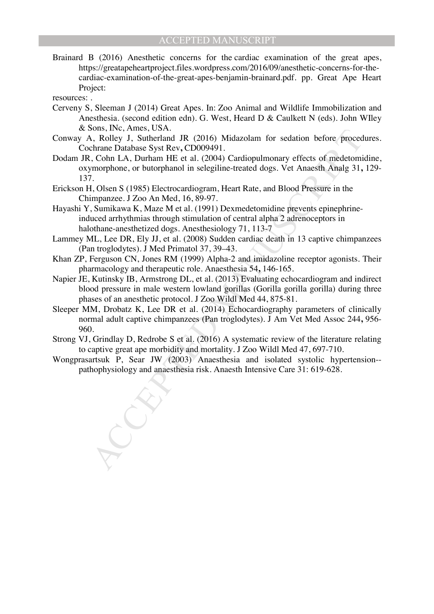- Brainard B (2016) Anesthetic concerns for the cardiac examination of the great apes, https://greatapeheartproject.files.wordpress.com/2016/09/anesthetic-concerns-for-thecardiac-examination-of-the-great-apes-benjamin-brainard.pdf. pp. Great Ape Heart Project:
- resources: .
- Cerveny S, Sleeman J (2014) Great Apes. In: Zoo Animal and Wildlife Immobilization and Anesthesia. (second edition edn). G. West, Heard D & Caulkett N (eds). John WIley & Sons, INc, Ames, USA.
- Conway A, Rolley J, Sutherland JR (2016) Midazolam for sedation before procedures. Cochrane Database Syst Rev**,** CD009491.
- Dodam JR, Cohn LA, Durham HE et al. (2004) Cardiopulmonary effects of medetomidine, oxymorphone, or butorphanol in selegiline-treated dogs. Vet Anaesth Analg 31**,** 129- 137.
- Erickson H, Olsen S (1985) Electrocardiogram, Heart Rate, and Blood Pressure in the Chimpanzee. J Zoo An Med, 16, 89-97.
- Sous, I.v., Annes, USA.<br>
(a), Rolley J, Sutherland JR (2016) Midazolam for sedation before proced<br>
chrame Database Syst Rev, CD009491.<br>
(a) Colon LA, Durham HE et al. (2004) Cardiopulmonary effects of medetomi<br>
(c) colon L Hayashi Y, Sumikawa K, Maze M et al. (1991) Dexmedetomidine prevents epinephrineinduced arrhythmias through stimulation of central alpha 2 adrenoceptors in halothane-anesthetized dogs. Anesthesiology 71, 113-7
- Lammey ML, Lee DR, Ely JJ, et al. (2008) Sudden cardiac death in 13 captive chimpanzees (Pan troglodytes). J Med Primatol 37, 39–43.
- Khan ZP, Ferguson CN, Jones RM (1999) Alpha-2 and imidazoline receptor agonists. Their pharmacology and therapeutic role. Anaesthesia 54**,** 146-165.
- Napier JE, Kutinsky IB, Armstrong DL, et al. (2013) Evaluating echocardiogram and indirect blood pressure in male western lowland gorillas (Gorilla gorilla gorilla) during three phases of an anesthetic protocol. J Zoo Wildl Med 44, 875-81.
- Sleeper MM, Drobatz K, Lee DR et al. (2014) Echocardiography parameters of clinically normal adult captive chimpanzees (Pan troglodytes). J Am Vet Med Assoc 244**,** 956- 960.
- Strong VJ, Grindlay D, Redrobe S et al. (2016) A systematic review of the literature relating to captive great ape morbidity and mortality. J Zoo Wildl Med 47, 697-710.
- Wongprasartsuk P, Sear JW (2003) Anaesthesia and isolated systolic hypertension- pathophysiology and anaesthesia risk. Anaesth Intensive Care 31: 619-628.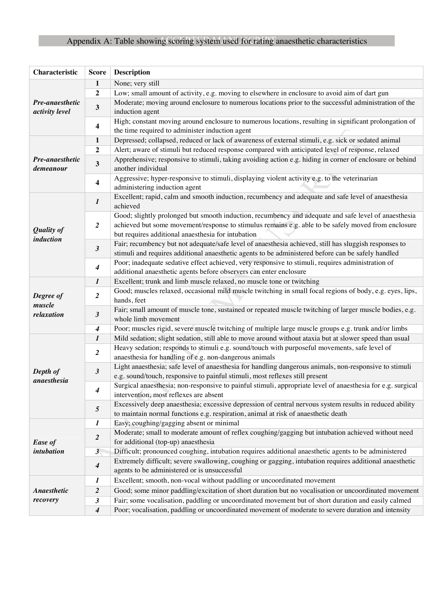## Appendix A: Table showing scoring system used for rating anaesthetic characteristics

| Characteristic                    | <b>Score</b>            | <b>Description</b>                                                                                                                                                                                                                                                |
|-----------------------------------|-------------------------|-------------------------------------------------------------------------------------------------------------------------------------------------------------------------------------------------------------------------------------------------------------------|
|                                   | 1                       | None; very still                                                                                                                                                                                                                                                  |
|                                   | $\boldsymbol{2}$        | Low; small amount of activity, e.g. moving to elsewhere in enclosure to avoid aim of dart gun                                                                                                                                                                     |
| Pre-anaesthetic<br>activity level | $\mathbf{3}$            | Moderate; moving around enclosure to numerous locations prior to the successful administration of the<br>induction agent                                                                                                                                          |
|                                   | $\overline{\mathbf{4}}$ | High; constant moving around enclosure to numerous locations, resulting in significant prolongation of<br>the time required to administer induction agent                                                                                                         |
|                                   | 1                       | Depressed; collapsed, reduced or lack of awareness of external stimuli, e.g. sick or sedated animal                                                                                                                                                               |
|                                   | $\overline{2}$          | Alert; aware of stimuli but reduced response compared with anticipated level of response, relaxed                                                                                                                                                                 |
| Pre-anaesthetic<br>demeanour      | 3                       | Apprehensive; responsive to stimuli, taking avoiding action e.g. hiding in corner of enclosure or behind<br>another individual                                                                                                                                    |
|                                   | $\overline{\mathbf{4}}$ | Aggressive; hyper-responsive to stimuli, displaying violent activity e.g. to the veterinarian<br>administering induction agent                                                                                                                                    |
|                                   | $\boldsymbol{l}$        | Excellent; rapid, calm and smooth induction, recumbency and adequate and safe level of anaesthesia<br>achieved                                                                                                                                                    |
| <b>Quality of</b><br>induction    | $\overline{2}$          | Good; slightly prolonged but smooth induction, recumbency and adequate and safe level of anaesthesia<br>achieved but some movement/response to stimulus remains e.g. able to be safely moved from enclosure<br>but requires additional anaesthesia for intubation |
|                                   | $\boldsymbol{\beta}$    | Fair; recumbency but not adequate/safe level of anaesthesia achieved, still has sluggish responses to<br>stimuli and requires additional anaesthetic agents to be administered before can be safely handled                                                       |
|                                   | $\boldsymbol{4}$        | Poor; inadequate sedative effect achieved, very responsive to stimuli, requires administration of<br>additional anaesthetic agents before observers can enter enclosure                                                                                           |
|                                   | $\boldsymbol{l}$        | Excellent; trunk and limb muscle relaxed, no muscle tone or twitching                                                                                                                                                                                             |
| Degree of<br>muscle               | $\boldsymbol{2}$        | Good; muscles relaxed, occasional mild muscle twitching in small focal regions of body, e.g. eyes, lips,<br>hands, feet                                                                                                                                           |
| relaxation                        | $\boldsymbol{\beta}$    | Fair; small amount of muscle tone, sustained or repeated muscle twitching of larger muscle bodies, e.g.<br>whole limb movement                                                                                                                                    |
|                                   | 4                       | Poor; muscles rigid, severe muscle twitching of multiple large muscle groups e.g. trunk and/or limbs                                                                                                                                                              |
|                                   | $\boldsymbol{l}$        | Mild sedation; slight sedation, still able to move around without ataxia but at slower speed than usual                                                                                                                                                           |
|                                   | $\boldsymbol{2}$        | Heavy sedation; responds to stimuli e.g. sound/touch with purposeful movements, safe level of<br>anaesthesia for handling of e.g. non-dangerous animals                                                                                                           |
| Depth of<br>anaesthesia           | $\mathfrak{z}$          | Light anaesthesia; safe level of anaesthesia for handling dangerous animals, non-responsive to stimuli<br>e.g. sound/touch, responsive to painful stimuli, most reflexes still present                                                                            |
|                                   | 4                       | Surgical anaesthesia; non-responsive to painful stimuli, appropriate level of anaesthesia for e.g. surgical<br>intervention, most reflexes are absent                                                                                                             |
|                                   | $5\overline{)}$         | Excessively deep anaesthesia; excessive depression of central nervous system results in reduced ability<br>to maintain normal functions e.g. respiration, animal at risk of anaesthetic death                                                                     |
|                                   | $\bm{l}$                | Easy; coughing/gagging absent or minimal                                                                                                                                                                                                                          |
| Ease of                           | $\boldsymbol{2}$        | Moderate; small to moderate amount of reflex coughing/gagging but intubation achieved without need<br>for additional (top-up) anaesthesia                                                                                                                         |
| intubation                        | 3 <sub>l</sub>          | Difficult; pronounced coughing, intubation requires additional anaesthetic agents to be administered                                                                                                                                                              |
|                                   | $\boldsymbol{4}$        | Extremely difficult; severe swallowing, coughing or gagging, intubation requires additional anaesthetic<br>agents to be administered or is unsuccessful                                                                                                           |
|                                   | $\bm{l}$                | Excellent; smooth, non-vocal without paddling or uncoordinated movement                                                                                                                                                                                           |
| <b>Anaesthetic</b>                | $\overline{2}$          | Good; some minor paddling/excitation of short duration but no vocalisation or uncoordinated movement                                                                                                                                                              |
| recovery                          | $\boldsymbol{\beta}$    | Fair; some vocalisation, paddling or uncoordinated movement but of short duration and easily calmed                                                                                                                                                               |
|                                   | $\boldsymbol{4}$        | Poor; vocalisation, paddling or uncoordinated movement of moderate to severe duration and intensity                                                                                                                                                               |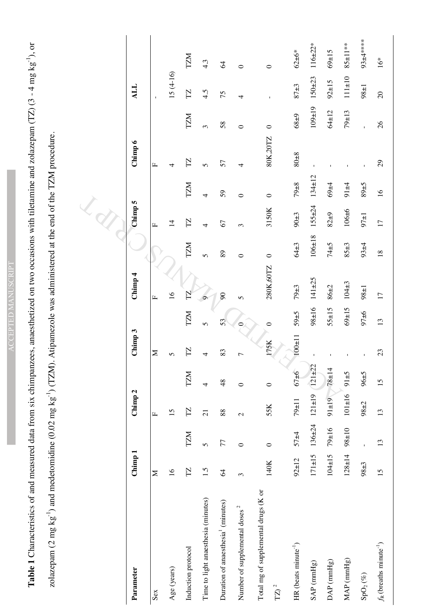ACCEPTED MANUSCRIPT **ACCEPTED MANUSCRIPT**  Table 1 Characteristics of and measured data from six chimpanzees, anaesthetized on two occasions with tiletamine and zolazepam (TZ) (3 - 4 mg kg<sup>-1</sup>), or **Table 1** Characteristics of and measured data from six chimpanzees, anaesthetized on two occasions with tiletamine and zolazepam (TZ) (3 - 4 mg kg-1), or zolazepam (2 mg kg<sup>-1</sup>) and medetomidine (0.02 mg kg<sup>-1</sup>) (TZM). Atipamezole was administered at the end of the TZM procedure. zolazepam (2 mg kg<sup>-1</sup>) and medetomidine (0.02 mg kg<sup>-1</sup>) (TZM). Atipamezole was administered at the end of the TZM procedure.

| Parameter                                       | Chimp 1         |                 | Chimp <sub>2</sub>                     |            | Chimp 3                 |                | Chimp <sub>4</sub> |                 | Chimp 5         |                  | Chimp 6                 |                | <b>ALL</b>   |                  |
|-------------------------------------------------|-----------------|-----------------|----------------------------------------|------------|-------------------------|----------------|--------------------|-----------------|-----------------|------------------|-------------------------|----------------|--------------|------------------|
| Sex                                             | Σ               |                 | щ                                      |            | $\geq$                  |                | $\mathbf{L}$       |                 | $\mathbf{L}$    |                  | $\mathbf{L}$            |                | Ï            |                  |
| Age (years)                                     | $\overline{16}$ |                 | 15                                     |            | 5                       |                | $\frac{6}{1}$      |                 | $\overline{1}$  |                  | 4                       |                | $15(4-16)$   |                  |
| Induction protocol                              | TZ              | TZM             | $\overline{\Gamma}$                    | TZM        | $\overline{\mathbb{Z}}$ | TZM            | $\mathbb{Z}$       | IZM             | TZ              | TZM              | $\overline{\mathbf{Z}}$ | TZM            | TZ           | IZM              |
| Time to light anaesthesia (minutes)             | 1.5             | $\sqrt{ }$      | $\overline{c}$                         | 4          |                         | $\overline{5}$ | Ó                  | $\sqrt{ }$      | 4               | 4                | 5                       | 3              | 4.5          | $4.\overline{3}$ |
| Duration of anaesthesia <sup>1</sup> (minutes)  | $\mathcal{Z}$   | 77              | 88                                     | 48         | 83                      | 53             | $\infty$           | 89              | 67              | 59               | 57                      | 58             | 75           | 64               |
| Number of supplemental doses <sup>2</sup>       | 3               | $\circ$         | $\mathbf{\Omega}$                      | $\circ$    | Γ                       | $\circ$        | $\sqrt{ }$         | $\circ$         | $\epsilon$      | $\circ$          | 4                       | 0              | 4            | 0                |
| Total mg of supplemental drugs (K or<br>$TZ)^2$ | 140K            | $\circ$         | 55K                                    | $\circ$    | 175K                    | 0              | 280K,60TZ          | $\circ$         | 3150K           | $\circ$          | 80K,20TZ                | $\circ$        |              | $\circ$          |
| $HR$ (beats minute <sup>-1</sup> )              | $92 \pm 12$     | $57 + 4$        | $79 \pm 11$                            | $67 \pm 6$ | $100 + 11$              | $59\pm5$       | $79\pm3$           | $64 + 3$        | $90 \pm 3$      | $79{\pm}8$       | $8 + 0.8$               | $68\pm9$       | $87 + 3$     | $62 \pm 6*$      |
| SAP (mmHg)                                      | $171 \pm 15$    |                 | $136 \pm 24$ $121 \pm 19$ $121 \pm 22$ |            |                         | $98 + 16$      | $141 + 25$         | $106 + 18$      | $155 + 24$      | $134 \pm 12$     | $\overline{1}$          | $109 + 19$     | $150 + 23$   | $116 \pm 22*$    |
| $DAP$ (mmHg)                                    | $104 \pm 15$    | 19±16           | $91 \pm 19$ 78±14                      |            |                         | $55 \pm 15$    | $86 + 2$           | $74 + 5$        | $82 + 9$        | $69 + 4$         |                         | $64 + 12$      | $92 \pm 15$  | $69 + 15$        |
| $MAP$ (mmHg)                                    | $128 + 14$      | $01 = 86$       | $101 \pm 16$                           | $5 \pm 16$ |                         | $69 + 15$      | $104 + 3$          | $85\pm3$        | $106 + 6$       | $91 + 4$         |                         | $79 + 13$      | $111 \pm 10$ | $85 \pm 11**$    |
| $\mathrm{SpO}_2\left(\mathcal{K}\right)$        | $98\pm3$        | $\overline{1}$  | $98 + 2$                               | $5 + 96$   |                         | $97 + 6$       | $98 \pm 1$         | $93 + 4$        | $97\pm1$        | $5 + 68$         |                         |                | $1 + 86$     | 93±4*****        |
| $f_R$ (breaths minute <sup>-1</sup> )           | 15              | $\overline{13}$ | 13                                     | 15         | 23                      | 13             | 17                 | $\overline{18}$ | $\overline{17}$ | $\mathfrak{g}_1$ | 29                      | $\mathfrak{H}$ | $20\,$       | $16*$            |